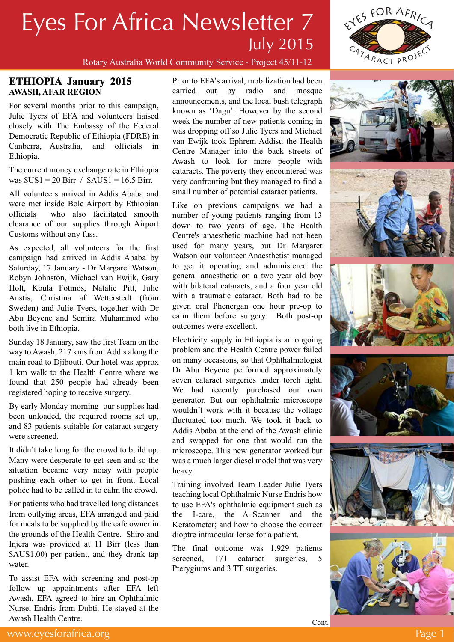

Rotary Australia World Community Service - Project 45/11-12

# **ETHIOPIA January 2015 AWASH, AFAR REGION**

For several months prior to this campaign, Julie Tyers of EFA and volunteers liaised closely with The Embassy of the Federal Democratic Republic of Ethiopia (FDRE) in Canberra, Australia, and officials Ethiopia.

The current money exchange rate in Ethiopia was  $$US1 = 20 Birr / $AUS1 = 16.5 Birr.$ 

All volunteers arrived in Addis Ababa and were met inside Bole Airport by Ethiopian officials who also facilitated smooth clearance of our supplies through Airport Customs without any fuss.

As expected, all volunteers for the first campaign had arrived in Addis Ababa by Saturday, 17 January - Dr Margaret Watson, Robyn Johnston, Michael van Ewijk, Gary Holt, Koula Fotinos, Natalie Pitt, Julie Anstis, Christina af Wetterstedt (from Sweden) and Julie Tyers, together with Dr Abu Beyene and Semira Muhammed who both live in Ethiopia.

Sunday 18 January, saw the first Team on the way to Awash, 217 kms from Addis along the main road to Djibouti. Our hotel was approx 1 km walk to the Health Centre where we found that 250 people had already been registered hoping to receive surgery.

By early Monday morning our supplies had been unloaded, the required rooms set up, and 83 patients suitable for cataract surgery were screened.

It didn't take long for the crowd to build up. Many were desperate to get seen and so the situation became very noisy with people pushing each other to get in front. Local police had to be called in to calm the crowd.

For patients who had travelled long distances from outlying areas, EFA arranged and paid for meals to be supplied by the cafe owner in the grounds of the Health Centre. Shiro and Injera was provided at 11 Birr (less than \$AUS1.00) per patient, and they drank tap water.

To assist EFA with screening and post-op follow up appointments after EFA left Awash, EFA agreed to hire an Ophthalmic Nurse, Endris from Dubti. He stayed at the Awash Health Centre.

Prior to EFA's arrival, mobilization had been carried out by radio and mosque announcements, and the local bush telegraph known as 'Dagu'. However by the second week the number of new patients coming in was dropping off so Julie Tyers and Michael van Ewijk took Ephrem Addisu the Health Centre Manager into the back streets of Awash to look for more people with cataracts. The poverty they encountered was very confronting but they managed to find a small number of potential cataract patients.

Like on previous campaigns we had a number of young patients ranging from 13 down to two years of age. The Health Centre's anaesthetic machine had not been used for many years, but Dr Margaret Watson our volunteer Anaesthetist managed to get it operating and administered the general anaesthetic on a two year old boy with bilateral cataracts, and a four year old with a traumatic cataract. Both had to be given oral Phenergan one hour pre-op to calm them before surgery. Both post-op outcomes were excellent.

Electricity supply in Ethiopia is an ongoing problem and the Health Centre power failed on many occasions, so that Ophthalmologist Dr Abu Beyene performed approximately seven cataract surgeries under torch light. We had recently purchased our own generator. But our ophthalmic microscope wouldn't work with it because the voltage fluctuated too much. We took it back to Addis Ababa at the end of the Awash clinic and swapped for one that would run the microscope. This new generator worked but was a much larger diesel model that was very heavy.

Training involved Team Leader Julie Tyers teaching local Ophthalmic Nurse Endris how to use EFA's ophthalmic equipment such as the I-care, the A–Scanner and the Keratometer; and how to choose the correct dioptre intraocular lense for a patient.

The final outcome was 1,929 patients screened, 171 cataract surgeries, 5 Pterygiums and 3 TT surgeries.

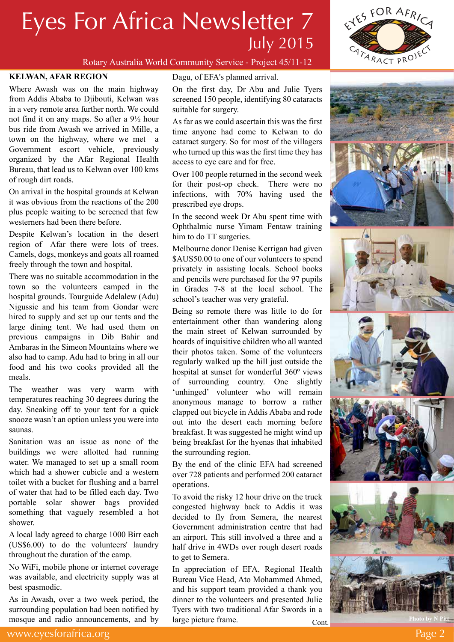

# Rotary Australia World Community Service - Project 45/11-12

# **KELWAN, AFAR REGION**

Where Awash was on the main highway from Addis Ababa to Djibouti, Kelwan was in a very remote area further north. We could not find it on any maps. So after a 9½ hour bus ride from Awash we arrived in Mille, a town on the highway, where we met a Government escort vehicle, previously organized by the Afar Regional Health Bureau, that lead us to Kelwan over 100 kms of rough dirt roads.

On arrival in the hospital grounds at Kelwan it was obvious from the reactions of the 200 plus people waiting to be screened that few westerners had been there before.

Despite Kelwan's location in the desert region of Afar there were lots of trees. Camels, dogs, monkeys and goats all roamed freely through the town and hospital.

There was no suitable accommodation in the town so the volunteers camped in the hospital grounds. Tourguide Adelalew (Adu) Nigussie and his team from Gondar were hired to supply and set up our tents and the large dining tent. We had used them on previous campaigns in Dib Bahir and Ambaras in the Simeon Mountains where we also had to camp. Adu had to bring in all our food and his two cooks provided all the meals.

The weather was very warm with temperatures reaching 30 degrees during the day. Sneaking off to your tent for a quick snooze wasn't an option unless you were into saunas.

Sanitation was an issue as none of the buildings we were allotted had running water. We managed to set up a small room which had a shower cubicle and a western toilet with a bucket for flushing and a barrel of water that had to be filled each day. Two portable solar shower bags provided something that vaguely resembled a hot shower.

A local lady agreed to charge 1000 Birr each (US\$6.00) to do the volunteers' laundry throughout the duration of the camp.

No WiFi, mobile phone or internet coverage was available, and electricity supply was at best spasmodic.

As in Awash, over a two week period, the surrounding population had been notified by mosque and radio announcements, and by

### Dagu, of EFA's planned arrival.

On the first day, Dr Abu and Julie Tyers screened 150 people, identifying 80 cataracts suitable for surgery.

As far as we could ascertain this was the first time anyone had come to Kelwan to do cataract surgery. So for most of the villagers who turned up this was the first time they has access to eye care and for free.

Over 100 people returned in the second week for their post-op check. There were no infections, with 70% having used the prescribed eye drops.

In the second week Dr Abu spent time with Ophthalmic nurse Yimam Fentaw training him to do TT surgeries.

Melbourne donor Denise Kerrigan had given \$AUS50.00 to one of our volunteers to spend privately in assisting locals. School books and pencils were purchased for the 97 pupils in Grades 7-8 at the local school. The school's teacher was very grateful.

Being so remote there was little to do for entertainment other than wandering along the main street of Kelwan surrounded by hoards of inquisitive children who all wanted their photos taken. Some of the volunteers regularly walked up the hill just outside the hospital at sunset for wonderful 360º views of surrounding country. One slightly 'unhinged' volunteer who will remain anonymous manage to borrow a rather clapped out bicycle in Addis Ababa and rode out into the desert each morning before breakfast. It was suggested he might wind up being breakfast for the hyenas that inhabited the surrounding region.

By the end of the clinic EFA had screened over 728 patients and performed 200 cataract operations.

To avoid the risky 12 hour drive on the truck congested highway back to Addis it was decided to fly from Semera, the nearest Government administration centre that had an airport. This still involved a three and a half drive in 4WDs over rough desert roads to get to Semera.

In appreciation of EFA, Regional Health Bureau Vice Head, Ato Mohammed Ahmed, and his support team provided a thank you dinner to the volunteers and presented Julie Tyers with two traditional Afar Swords in a large picture frame. Cont.





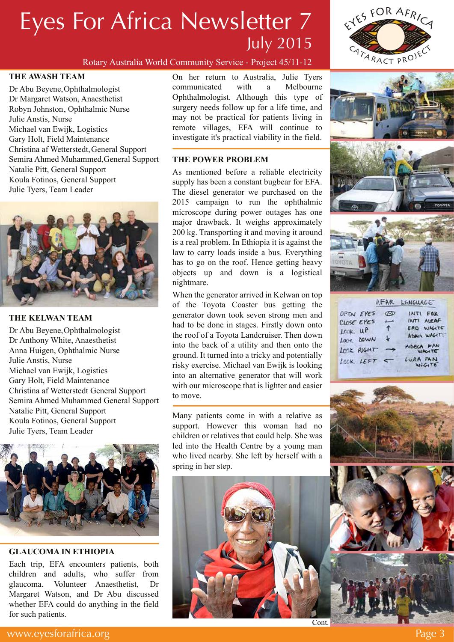# Rotary Australia World Community Service - Project 45/11-12

### **THE AWASH TEAM**

Dr Abu Beyene, Ophthalmologist Dr Margaret Watson, Anaesthetist Robyn Johnston , Ophthalmic Nurse Julie Anstis, Nurse Michael van Ewijk, Logistics Gary Holt, Field Maintenance Christina af Wetterstedt, General Support Semira Ahmed Muhammed,General Support Natalie Pitt, General Support Koula Fotinos, General Support Julie Tyers, Team Leader



**THE KELWAN TEAM**

Dr Abu Beyene, Ophthalmologist Dr Anthony White, Anaesthetist Anna Huigen, Ophthalmic Nurse Julie Anstis, Nurse Michael van Ewijk, Logistics Gary Holt, Field Maintenance Christina af Wetterstedt General Support Semira Ahmed Muhammed General Support Natalie Pitt, General Support Koula Fotinos, General Support Julie Tyers, Team Leader



#### **GLAUCOMA IN ETHIOPIA**

Each trip, EFA encounters patients, both children and adults, who suffer from glaucoma. Volunteer Anaesthetist, Dr Margaret Watson, and Dr Abu discussed whether EFA could do anything in the field for such patients.

On her return to Australia, Julie Tyers communicated with a Melbourne Ophthalmologist. Although this type of surgery needs follow up for a life time, and may not be practical for patients living in remote villages, EFA will continue to investigate it's practical viability in the field.

### **THE POWER PROBLEM**

As mentioned before a reliable electricity supply has been a constant bugbear for EFA. The diesel generator we purchased on the 2015 campaign to run the ophthalmic microscope during power outages has one major drawback. It weighs approximately 200 kg. Transporting it and moving it around is a real problem. In Ethiopia it is against the law to carry loads inside a bus. Everything has to go on the roof. Hence getting heavy objects up and down is a logistical nightmare.

When the generator arrived in Kelwan on top of the Toyota Coaster bus getting the generator down took seven strong men and had to be done in stages. Firstly down onto the roof of a Toyota Landcruiser. Then down into the back of a utility and then onto the ground. It turned into a tricky and potentially risky exercise. Michael van Ewijk is looking into an alternative generator that will work with our microscope that is lighter and easier to move.

Many patients come in with a relative as support. However this woman had no children or relatives that could help. She was led into the Health Centre by a young man who lived nearby. She left by herself with a spring in her step.









|            | AFAR                      | LINGUAGE                            |
|------------|---------------------------|-------------------------------------|
| OPEN EVES  | Œ                         | INTI FAK                            |
| CLOSE EYES | $\overline{a}$            | INTI ALEAF                          |
|            | $L \circ k$ up $\uparrow$ | ERO WAGITE                          |
| LOOK DOWN  | $\mathbf{L}$              | ADAM WAGIT                          |
| LOOK RIGHT | →                         | MIDEGA PAN                          |
| LOCK LEFT  |                           | GURA FAN<br>$W \sim G + T \epsilon$ |
|            |                           |                                     |





Cont.